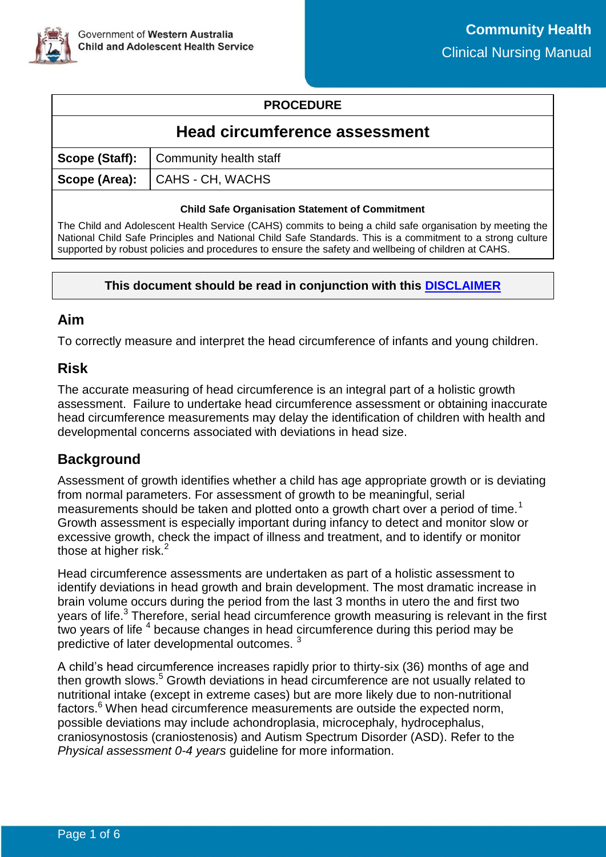### **PROCEDURE**

# **Head circumference assessment**

| Scope (Staff):   Community health staff |
|-----------------------------------------|
| Scope (Area): CAHS - CH, WACHS          |
|                                         |

#### **Child Safe Organisation Statement of Commitment**

The Child and Adolescent Health Service (CAHS) commits to being a child safe organisation by meeting the National Child Safe Principles and National Child Safe Standards. This is a commitment to a strong culture supported by robust policies and procedures to ensure the safety and wellbeing of children at CAHS.

#### **This document should be read in conjunction with this [DISCLAIMER](https://cahs.health.wa.gov.au/For-health-professionals/Resources/CAHS-Clinical-Disclaimer)**

### **Aim**

To correctly measure and interpret the head circumference of infants and young children.

### **Risk**

The accurate measuring of head circumference is an integral part of a holistic growth assessment. Failure to undertake head circumference assessment or obtaining inaccurate head circumference measurements may delay the identification of children with health and developmental concerns associated with deviations in head size.

# **Background**

Assessment of growth identifies whether a child has age appropriate growth or is deviating from normal parameters. For assessment of growth to be meaningful, serial measurements should be taken and plotted onto a growth chart over a period of time.<sup>1</sup> Growth assessment is especially important during infancy to detect and monitor slow or excessive growth, check the impact of illness and treatment, and to identify or monitor those at higher risk. $<sup>2</sup>$ </sup>

Head circumference assessments are undertaken as part of a holistic assessment to identify deviations in head growth and brain development. The most dramatic increase in brain volume occurs during the period from the last 3 months in utero the and first two years of life.<sup>3</sup> Therefore, serial head circumference growth measuring is relevant in the first two years of life  $4$  because changes in head circumference during this period may be predictive of later developmental outcomes. 3

A child's head circumference increases rapidly prior to thirty-six (36) months of age and then growth slows.<sup>5</sup> Growth deviations in head circumference are not usually related to nutritional intake (except in extreme cases) but are more likely due to non-nutritional factors.<sup>6</sup> When head circumference measurements are outside the expected norm, possible deviations may include achondroplasia, microcephaly, hydrocephalus, craniosynostosis (craniostenosis) and Autism Spectrum Disorder (ASD). Refer to the *Physical assessment 0-4 years* guideline for more information.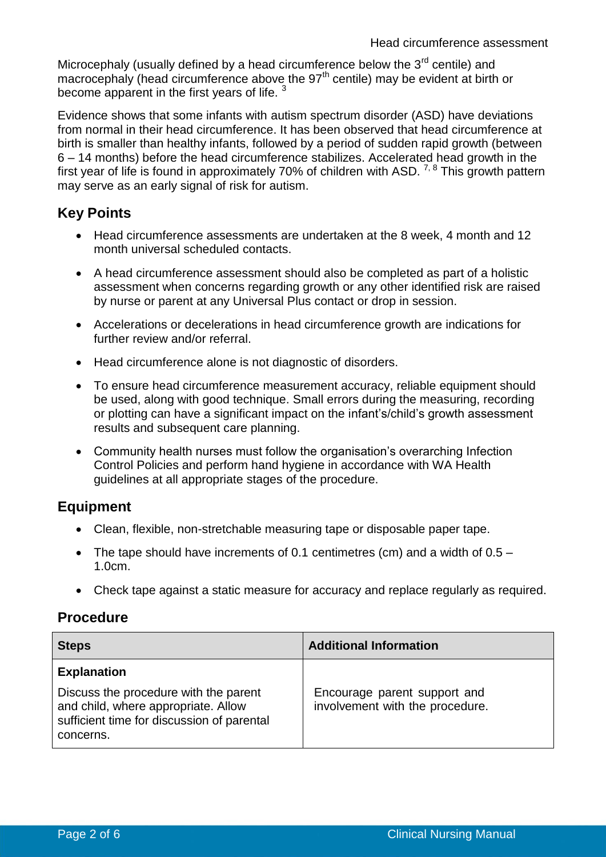Microcephaly (usually defined by a head circumference below the  $3<sup>rd</sup>$  centile) and macrocephaly (head circumference above the 97<sup>th</sup> centile) may be evident at birth or become apparent in the first years of life.  $3$ 

Evidence shows that some infants with autism spectrum disorder (ASD) have deviations from normal in their head circumference. It has been observed that head circumference at birth is smaller than healthy infants, followed by a period of sudden rapid growth (between 6 – 14 months) before the head circumference stabilizes. Accelerated head growth in the first year of life is found in approximately 70% of children with ASD.<sup>7, 8</sup> This growth pattern may serve as an early signal of risk for autism.

# **Key Points**

- Head circumference assessments are undertaken at the 8 week, 4 month and 12 month universal scheduled contacts.
- A head circumference assessment should also be completed as part of a holistic assessment when concerns regarding growth or any other identified risk are raised by nurse or parent at any Universal Plus contact or drop in session.
- Accelerations or decelerations in head circumference growth are indications for further review and/or referral.
- Head circumference alone is not diagnostic of disorders.
- To ensure head circumference measurement accuracy, reliable equipment should be used, along with good technique. Small errors during the measuring, recording or plotting can have a significant impact on the infant's/child's growth assessment results and subsequent care planning.
- Community health nurses must follow the organisation's overarching Infection Control Policies and perform hand hygiene in accordance with WA Health guidelines at all appropriate stages of the procedure.

# **Equipment**

- Clean, flexible, non-stretchable measuring tape or disposable paper tape.
- The tape should have increments of 0.1 centimetres (cm) and a width of  $0.5 -$ 1.0cm.
- Check tape against a static measure for accuracy and replace regularly as required.

# **Procedure**

| <b>Steps</b>                                                                                                                            | <b>Additional Information</b>                                   |
|-----------------------------------------------------------------------------------------------------------------------------------------|-----------------------------------------------------------------|
| <b>Explanation</b>                                                                                                                      |                                                                 |
| Discuss the procedure with the parent<br>and child, where appropriate. Allow<br>sufficient time for discussion of parental<br>concerns. | Encourage parent support and<br>involvement with the procedure. |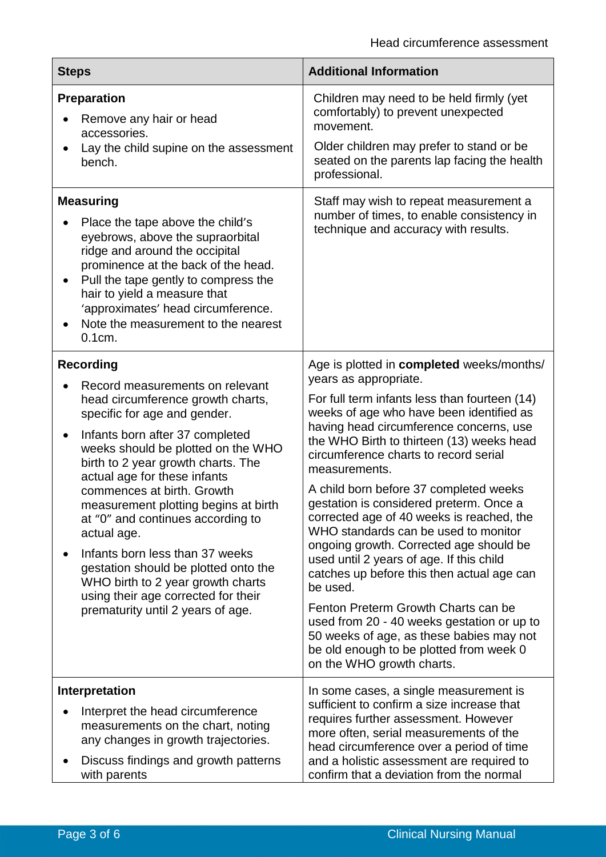| <b>Steps</b>                                                                                                                                                                                                                                                                                                                                                                                                                                                                                                                                                                                               | <b>Additional Information</b>                                                                                                                                                                                                                                                                                                                                                                                                                                                                                                                                                                                                                                                                                                                                                                                                                         |  |  |
|------------------------------------------------------------------------------------------------------------------------------------------------------------------------------------------------------------------------------------------------------------------------------------------------------------------------------------------------------------------------------------------------------------------------------------------------------------------------------------------------------------------------------------------------------------------------------------------------------------|-------------------------------------------------------------------------------------------------------------------------------------------------------------------------------------------------------------------------------------------------------------------------------------------------------------------------------------------------------------------------------------------------------------------------------------------------------------------------------------------------------------------------------------------------------------------------------------------------------------------------------------------------------------------------------------------------------------------------------------------------------------------------------------------------------------------------------------------------------|--|--|
| <b>Preparation</b><br>Remove any hair or head<br>accessories.<br>Lay the child supine on the assessment<br>bench.                                                                                                                                                                                                                                                                                                                                                                                                                                                                                          | Children may need to be held firmly (yet<br>comfortably) to prevent unexpected<br>movement.<br>Older children may prefer to stand or be<br>seated on the parents lap facing the health<br>professional.                                                                                                                                                                                                                                                                                                                                                                                                                                                                                                                                                                                                                                               |  |  |
| <b>Measuring</b><br>Place the tape above the child's<br>eyebrows, above the supraorbital<br>ridge and around the occipital<br>prominence at the back of the head.<br>Pull the tape gently to compress the<br>$\bullet$<br>hair to yield a measure that<br>'approximates' head circumference.<br>Note the measurement to the nearest<br>0.1cm.                                                                                                                                                                                                                                                              | Staff may wish to repeat measurement a<br>number of times, to enable consistency in<br>technique and accuracy with results.                                                                                                                                                                                                                                                                                                                                                                                                                                                                                                                                                                                                                                                                                                                           |  |  |
| <b>Recording</b><br>Record measurements on relevant<br>head circumference growth charts,<br>specific for age and gender.<br>Infants born after 37 completed<br>$\bullet$<br>weeks should be plotted on the WHO<br>birth to 2 year growth charts. The<br>actual age for these infants<br>commences at birth. Growth<br>measurement plotting begins at birth<br>at "0" and continues according to<br>actual age.<br>Infants born less than 37 weeks<br>gestation should be plotted onto the<br>WHO birth to 2 year growth charts<br>using their age corrected for their<br>prematurity until 2 years of age. | Age is plotted in completed weeks/months/<br>years as appropriate.<br>For full term infants less than fourteen (14)<br>weeks of age who have been identified as<br>having head circumference concerns, use<br>the WHO Birth to thirteen (13) weeks head<br>circumference charts to record serial<br>measurements.<br>A child born before 37 completed weeks<br>gestation is considered preterm. Once a<br>corrected age of 40 weeks is reached, the<br>WHO standards can be used to monitor<br>ongoing growth. Corrected age should be<br>used until 2 years of age. If this child<br>catches up before this then actual age can<br>be used.<br>Fenton Preterm Growth Charts can be<br>used from 20 - 40 weeks gestation or up to<br>50 weeks of age, as these babies may not<br>be old enough to be plotted from week 0<br>on the WHO growth charts. |  |  |
| Interpretation<br>Interpret the head circumference<br>measurements on the chart, noting<br>any changes in growth trajectories.<br>Discuss findings and growth patterns<br>with parents                                                                                                                                                                                                                                                                                                                                                                                                                     | In some cases, a single measurement is<br>sufficient to confirm a size increase that<br>requires further assessment. However<br>more often, serial measurements of the<br>head circumference over a period of time<br>and a holistic assessment are required to<br>confirm that a deviation from the normal                                                                                                                                                                                                                                                                                                                                                                                                                                                                                                                                           |  |  |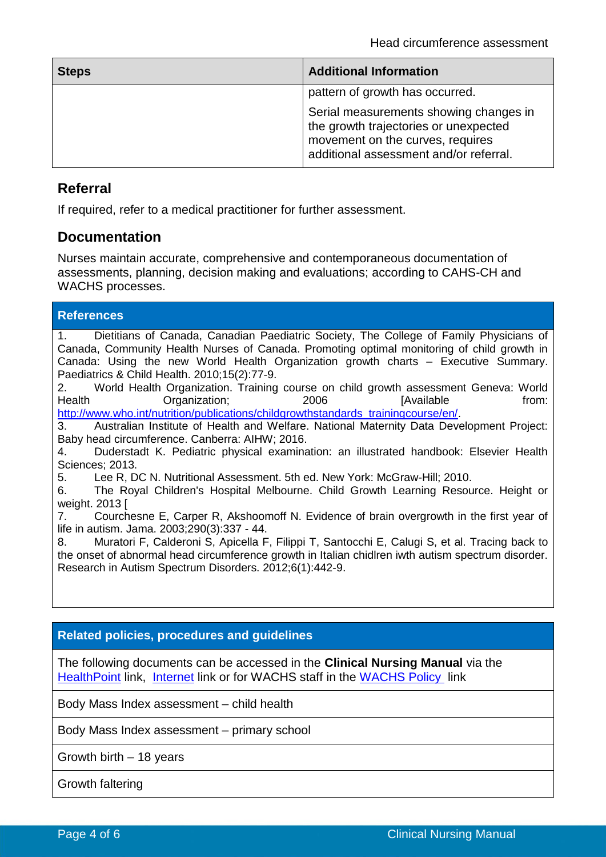| <b>Steps</b> | <b>Additional Information</b>                                                                                                                                 |
|--------------|---------------------------------------------------------------------------------------------------------------------------------------------------------------|
|              | pattern of growth has occurred.                                                                                                                               |
|              | Serial measurements showing changes in<br>the growth trajectories or unexpected<br>movement on the curves, requires<br>additional assessment and/or referral. |

### **Referral**

**References**

If required, refer to a medical practitioner for further assessment.

### **Documentation**

Nurses maintain accurate, comprehensive and contemporaneous documentation of assessments, planning, decision making and evaluations; according to CAHS-CH and WACHS processes.

| .                                                                                          |  |
|--------------------------------------------------------------------------------------------|--|
| Dietitians of Canada, Canadian Paediatric Society, The College of Family Physicians of     |  |
| Canada, Community Health Nurses of Canada. Promoting optimal monitoring of child growth in |  |
| Canada: Using the new World Health Organization growth charts - Executive Summary.         |  |
| Paediatrics & Child Health. 2010;15(2):77-9.                                               |  |
|                                                                                            |  |

2. World Health Organization. Training course on child growth assessment Geneva: World Health **Conducts** Organization; 19906 The Muslim Conducts of the from: [http://www.who.int/nutrition/publications/childgrowthstandards\\_trainingcourse/en/.](http://www.who.int/nutrition/publications/childgrowthstandards_trainingcourse/en/)

3. Australian Institute of Health and Welfare. National Maternity Data Development Project: Baby head circumference. Canberra: AIHW; 2016.

4. Duderstadt K. Pediatric physical examination: an illustrated handbook: Elsevier Health Sciences: 2013.

5. Lee R, DC N. Nutritional Assessment. 5th ed. New York: McGraw-Hill; 2010.

6. The Royal Children's Hospital Melbourne. Child Growth Learning Resource. Height or weight. 2013 [

7. Courchesne E, Carper R, Akshoomoff N. Evidence of brain overgrowth in the first year of life in autism. Jama. 2003;290(3):337 - 44.

8. Muratori F, Calderoni S, Apicella F, Filippi T, Santocchi E, Calugi S, et al. Tracing back to the onset of abnormal head circumference growth in Italian chidlren iwth autism spectrum disorder. Research in Autism Spectrum Disorders. 2012;6(1):442-9.

#### **Related policies, procedures and guidelines**

The following documents can be accessed in the **Clinical Nursing Manual** via the [HealthPoint](https://healthpoint.hdwa.health.wa.gov.au/policies/Pages/CACH-Community-Health.aspx) link, [Internet](https://ww2.health.wa.gov.au/About-us/Child-and-Adolescent-Health-Service/Child-and-Adolescent-Community-Health/Professional-resources/Community-Health-Clinical-Nursing-Manual) link or for WACHS staff in the [WACHS Policy](https://healthpoint.hdwa.health.wa.gov.au/policies/Pages/WACHS%20Policy%20Pages/WACHS-Policies.aspx) link

Body Mass Index assessment – child health

Body Mass Index assessment – primary school

Growth birth – 18 years

Growth faltering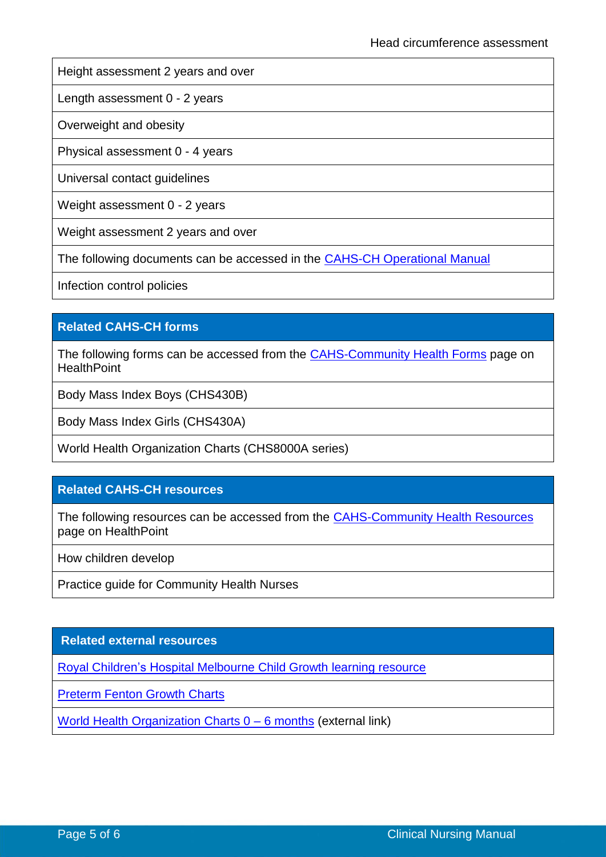Height assessment 2 years and over

Length assessment 0 - 2 years

Overweight and obesity

Physical assessment 0 - 4 years

Universal contact guidelines

Weight assessment 0 - 2 years

Weight assessment 2 years and over

The following documents can be accessed in the [CAHS-CH Operational Manual](https://healthpoint.hdwa.health.wa.gov.au/policies/Pages/CACH-Operational-Policies.aspx)

Infection control policies

#### **Related CAHS-CH forms**

The following forms can be accessed from the [CAHS-Community Health Forms](https://cahs-healthpoint.hdwa.health.wa.gov.au/cach/forms/Pages/default.aspx) page on **HealthPoint** 

Body Mass Index Boys (CHS430B)

Body Mass Index Girls (CHS430A)

World Health Organization Charts (CHS8000A series)

#### **Related CAHS-CH resources**

The following resources can be accessed from the [CAHS-Community Health Resources](https://cahs-healthpoint.hdwa.health.wa.gov.au/cach/resources/Pages/default.aspx) page on HealthPoint

How children develop

Practice guide for Community Health Nurses

#### **Related external resources**

[Royal Children's Hospital](http://www.rch.org.au/childgrowth/) Melbourne Child Growth learning resource

[Preterm Fenton Growth Charts](https://live-ucalgary.ucalgary.ca/resource/preterm-growth-chart/preterm-growth-chart)

[World Health Organization Charts 0 –](https://www.who.int/childgrowth/standards/en/) 6 months (external link)